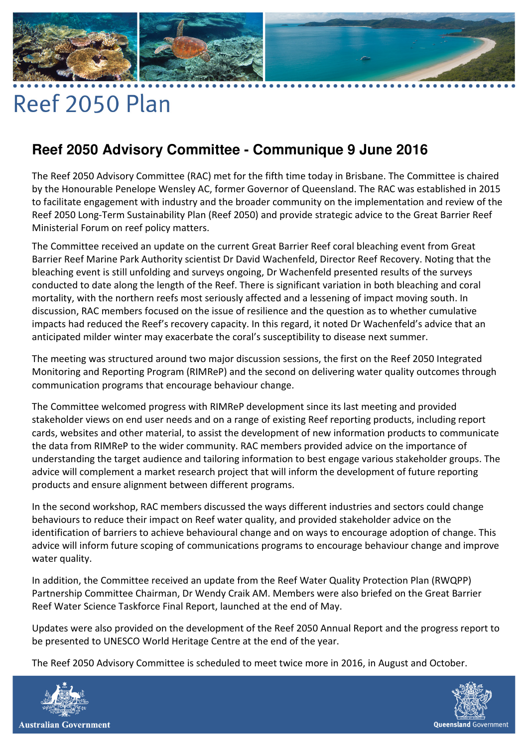## $\bullet\hspace{0.1cm} \bullet\hspace{0.1cm} \bullet\hspace{0.1cm} \bullet\hspace{0.1cm} \bullet$

## Reef 2050 Plan

## **Reef 2050 Advisory Committee - Communique 9 June 2016**

The Reef 2050 Advisory Committee (RAC) met for the fifth time today in Brisbane. The Committee is chaired by the Honourable Penelope Wensley AC, former Governor of Queensland. The RAC was established in 2015 to facilitate engagement with industry and the broader community on the implementation and review of the Reef 2050 Long-Term Sustainability Plan (Reef 2050) and provide strategic advice to the Great Barrier Reef Ministerial Forum on reef policy matters.

The Committee received an update on the current Great Barrier Reef coral bleaching event from Great Barrier Reef Marine Park Authority scientist Dr David Wachenfeld, Director Reef Recovery. Noting that the bleaching event is still unfolding and surveys ongoing, Dr Wachenfeld presented results of the surveys conducted to date along the length of the Reef. There is significant variation in both bleaching and coral mortality, with the northern reefs most seriously affected and a lessening of impact moving south. In discussion, RAC members focused on the issue of resilience and the question as to whether cumulative impacts had reduced the Reef's recovery capacity. In this regard, it noted Dr Wachenfeld's advice that an anticipated milder winter may exacerbate the coral's susceptibility to disease next summer.

The meeting was structured around two major discussion sessions, the first on the Reef 2050 Integrated Monitoring and Reporting Program (RIMReP) and the second on delivering water quality outcomes through communication programs that encourage behaviour change.

The Committee welcomed progress with RIMReP development since its last meeting and provided stakeholder views on end user needs and on a range of existing Reef reporting products, including report cards, websites and other material, to assist the development of new information products to communicate the data from RIMReP to the wider community. RAC members provided advice on the importance of understanding the target audience and tailoring information to best engage various stakeholder groups. The advice will complement a market research project that will inform the development of future reporting products and ensure alignment between different programs.

In the second workshop, RAC members discussed the ways different industries and sectors could change behaviours to reduce their impact on Reef water quality, and provided stakeholder advice on the identification of barriers to achieve behavioural change and on ways to encourage adoption of change. This advice will inform future scoping of communications programs to encourage behaviour change and improve water quality.

In addition, the Committee received an update from the Reef Water Quality Protection Plan (RWQPP) Partnership Committee Chairman, Dr Wendy Craik AM. Members were also briefed on the Great Barrier Reef Water Science Taskforce Final Report, launched at the end of May.

Updates were also provided on the development of the Reef 2050 Annual Report and the progress report to be presented to UNESCO World Heritage Centre at the end of the year.

The Reef 2050 Advisory Committee is scheduled to meet twice more in 2016, in August and October.